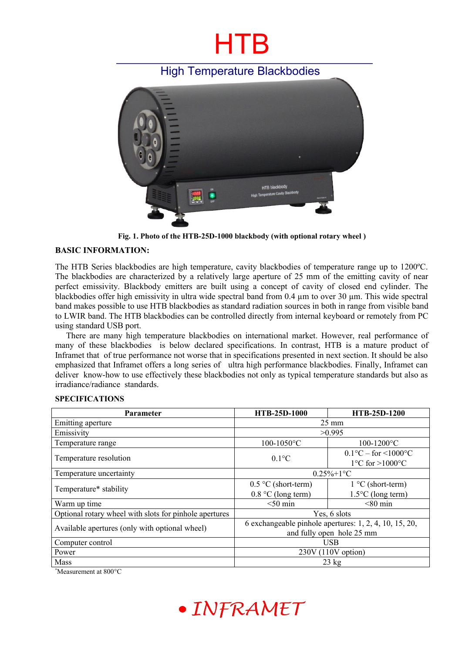# HTB

### High Temperature Blackbodies



**Fig. 1. Photo of the HTB-25D-1000 blackbody (with optional rotary wheel )**

### **BASIC INFORMATION:**

The HTB Series blackbodies are high temperature, cavity blackbodies of temperature range up to 1200ºC. The blackbodies are characterized by a relatively large aperture of 25 mm of the emitting cavity of near perfect emissivity. Blackbody emitters are built using a concept of cavity of closed end cylinder. The blackbodies offer high emissivity in ultra wide spectral band from 0.4 um to over 30 um. This wide spectral band makes possible to use HTB blackbodies as standard radiation sources in both in range from visible band to LWIR band. The HTB blackbodies can be controlled directly from internal keyboard or remotely from PC using standard USB port.

There are many high temperature blackbodies on international market. However, real performance of many of these blackbodies is below declared specifications. In contrast, HTB is a mature product of Inframet that of true performance not worse that in specifications presented in next section. It should be also emphasized that Inframet offers a long series of ultra high performance blackbodies. Finally, Inframet can deliver know-how to use effectively these blackbodies not only as typical temperature standards but also as irradiance/radiance standards.

#### **SPECIFICATIONS**

| <b>Parameter</b>                                       | <b>HTB-25D-1000</b>                                                                 | <b>HTB-25D-1200</b>                                                             |
|--------------------------------------------------------|-------------------------------------------------------------------------------------|---------------------------------------------------------------------------------|
| Emitting aperture                                      | $25 \text{ mm}$                                                                     |                                                                                 |
| Emissivity                                             | >0.995                                                                              |                                                                                 |
| Temperature range                                      | 100-1050°C                                                                          | $100 - 1200$ °C                                                                 |
| Temperature resolution                                 | $0.1$ °C                                                                            | $0.1^{\circ}$ C – for <1000 $^{\circ}$ C<br>$1^{\circ}$ C for $>1000^{\circ}$ C |
| Temperature uncertainty                                | $0.25\% + 1\degree C$                                                               |                                                                                 |
| Temperature* stability                                 | $0.5 \text{ °C}$ (short-term)                                                       | $1 °C$ (short-term)                                                             |
|                                                        | $0.8 \degree C$ (long term)                                                         | $1.5^{\circ}$ C (long term)                                                     |
| Warm up time                                           | $< 50$ min                                                                          | $< 80$ min                                                                      |
| Optional rotary wheel with slots for pinhole apertures | Yes, 6 slots                                                                        |                                                                                 |
| Available apertures (only with optional wheel)         | 6 exchangeable pinhole apertures: 1, 2, 4, 10, 15, 20,<br>and fully open hole 25 mm |                                                                                 |
| Computer control                                       | <b>USB</b>                                                                          |                                                                                 |
| Power                                                  | $230V(110V$ option)                                                                 |                                                                                 |
| Mass                                                   | $23 \text{ kg}$                                                                     |                                                                                 |

\*Measurement at 800°C

## • INFRAMET